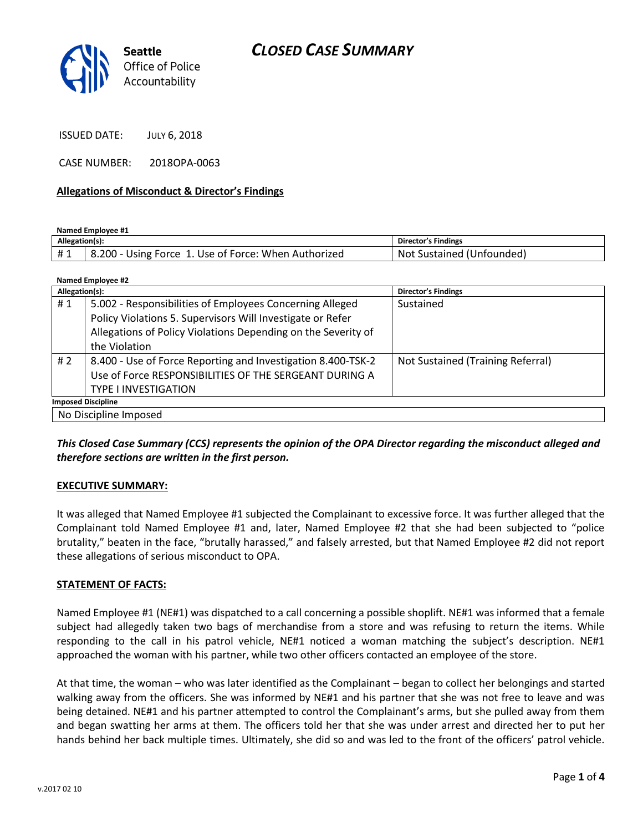# *CLOSED CASE SUMMARY*



ISSUED DATE: JULY 6, 2018

CASE NUMBER: 2018OPA-0063

#### **Allegations of Misconduct & Director's Findings**

**Named Employee #1**

| Allegation(s): |                                                      | Director's Findings       |
|----------------|------------------------------------------------------|---------------------------|
|                | 8.200 - Using Force 1. Use of Force: When Authorized | Not Sustained (Unfounded) |

| Named Employee #2         |                                                               |                                   |  |
|---------------------------|---------------------------------------------------------------|-----------------------------------|--|
| Allegation(s):            |                                                               | <b>Director's Findings</b>        |  |
| #1                        | 5.002 - Responsibilities of Employees Concerning Alleged      | Sustained                         |  |
|                           | Policy Violations 5. Supervisors Will Investigate or Refer    |                                   |  |
|                           | Allegations of Policy Violations Depending on the Severity of |                                   |  |
|                           | the Violation                                                 |                                   |  |
| # $2$                     | 8.400 - Use of Force Reporting and Investigation 8.400-TSK-2  | Not Sustained (Training Referral) |  |
|                           | Use of Force RESPONSIBILITIES OF THE SERGEANT DURING A        |                                   |  |
|                           | <b>TYPE I INVESTIGATION</b>                                   |                                   |  |
| <b>Imposed Discipline</b> |                                                               |                                   |  |
| No Discipline Imposed     |                                                               |                                   |  |

*This Closed Case Summary (CCS) represents the opinion of the OPA Director regarding the misconduct alleged and therefore sections are written in the first person.* 

#### **EXECUTIVE SUMMARY:**

It was alleged that Named Employee #1 subjected the Complainant to excessive force. It was further alleged that the Complainant told Named Employee #1 and, later, Named Employee #2 that she had been subjected to "police brutality," beaten in the face, "brutally harassed," and falsely arrested, but that Named Employee #2 did not report these allegations of serious misconduct to OPA.

#### **STATEMENT OF FACTS:**

Named Employee #1 (NE#1) was dispatched to a call concerning a possible shoplift. NE#1 was informed that a female subject had allegedly taken two bags of merchandise from a store and was refusing to return the items. While responding to the call in his patrol vehicle, NE#1 noticed a woman matching the subject's description. NE#1 approached the woman with his partner, while two other officers contacted an employee of the store.

At that time, the woman – who was later identified as the Complainant – began to collect her belongings and started walking away from the officers. She was informed by NE#1 and his partner that she was not free to leave and was being detained. NE#1 and his partner attempted to control the Complainant's arms, but she pulled away from them and began swatting her arms at them. The officers told her that she was under arrest and directed her to put her hands behind her back multiple times. Ultimately, she did so and was led to the front of the officers' patrol vehicle.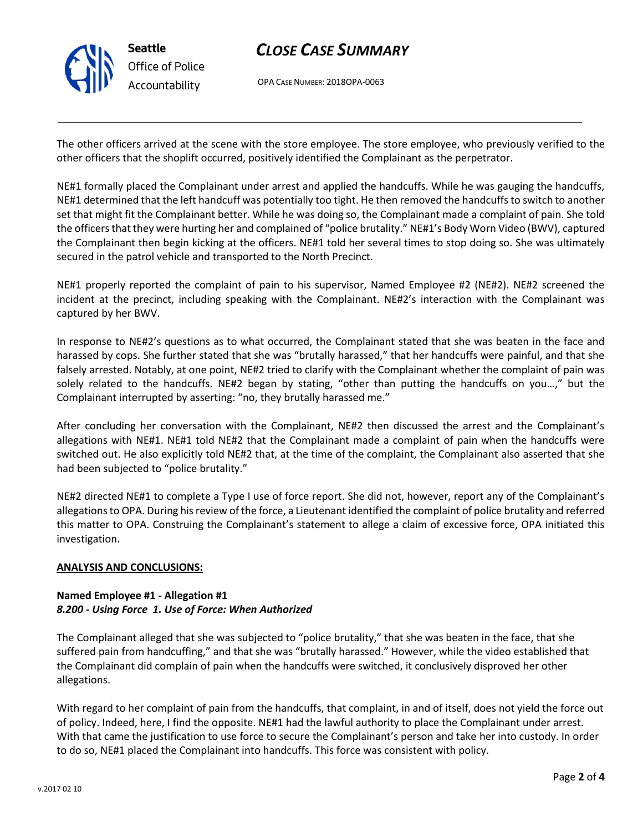

## *CLOSE CASE SUMMARY*

OPA CASE NUMBER: 2018OPA-0063

The other officers arrived at the scene with the store employee. The store employee, who previously verified to the other officers that the shoplift occurred, positively identified the Complainant as the perpetrator.

NE#1 formally placed the Complainant under arrest and applied the handcuffs. While he was gauging the handcuffs, NE#1 determined that the left handcuff was potentially too tight. He then removed the handcuffs to switch to another set that might fit the Complainant better. While he was doing so, the Complainant made a complaint of pain. She told the officers that they were hurting her and complained of "police brutality." NE#1's Body Worn Video (BWV), captured the Complainant then begin kicking at the officers. NE#1 told her several times to stop doing so. She was ultimately secured in the patrol vehicle and transported to the North Precinct.

NE#1 properly reported the complaint of pain to his supervisor, Named Employee #2 (NE#2). NE#2 screened the incident at the precinct, including speaking with the Complainant. NE#2's interaction with the Complainant was captured by her BWV.

In response to NE#2's questions as to what occurred, the Complainant stated that she was beaten in the face and harassed by cops. She further stated that she was "brutally harassed," that her handcuffs were painful, and that she falsely arrested. Notably, at one point, NE#2 tried to clarify with the Complainant whether the complaint of pain was solely related to the handcuffs. NE#2 began by stating, "other than putting the handcuffs on you…," but the Complainant interrupted by asserting: "no, they brutally harassed me."

After concluding her conversation with the Complainant, NE#2 then discussed the arrest and the Complainant's allegations with NE#1. NE#1 told NE#2 that the Complainant made a complaint of pain when the handcuffs were switched out. He also explicitly told NE#2 that, at the time of the complaint, the Complainant also asserted that she had been subjected to "police brutality."

NE#2 directed NE#1 to complete a Type I use of force report. She did not, however, report any of the Complainant's allegations to OPA. During his review of the force, a Lieutenant identified the complaint of police brutality and referred this matter to OPA. Construing the Complainant's statement to allege a claim of excessive force, OPA initiated this investigation.

#### **ANALYSIS AND CONCLUSIONS:**

### **Named Employee #1 - Allegation #1** *8.200 - Using Force 1. Use of Force: When Authorized*

The Complainant alleged that she was subjected to "police brutality," that she was beaten in the face, that she suffered pain from handcuffing," and that she was "brutally harassed." However, while the video established that the Complainant did complain of pain when the handcuffs were switched, it conclusively disproved her other allegations.

With regard to her complaint of pain from the handcuffs, that complaint, in and of itself, does not yield the force out of policy. Indeed, here, I find the opposite. NE#1 had the lawful authority to place the Complainant under arrest. With that came the justification to use force to secure the Complainant's person and take her into custody. In order to do so, NE#1 placed the Complainant into handcuffs. This force was consistent with policy.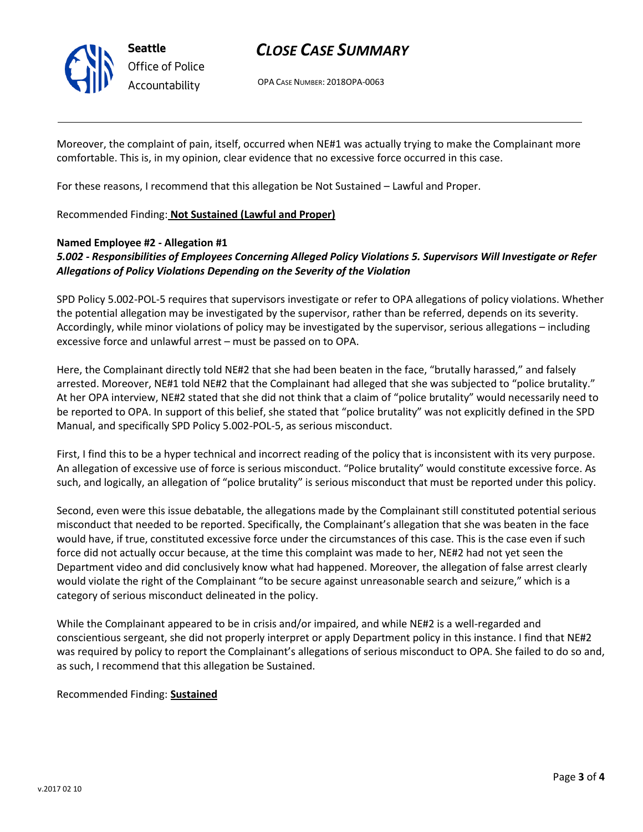

## *CLOSE CASE SUMMARY*

OPA CASE NUMBER: 2018OPA-0063

Moreover, the complaint of pain, itself, occurred when NE#1 was actually trying to make the Complainant more comfortable. This is, in my opinion, clear evidence that no excessive force occurred in this case.

For these reasons, I recommend that this allegation be Not Sustained – Lawful and Proper.

### Recommended Finding: **Not Sustained (Lawful and Proper)**

### **Named Employee #2 - Allegation #1**

## *5.002 - Responsibilities of Employees Concerning Alleged Policy Violations 5. Supervisors Will Investigate or Refer Allegations of Policy Violations Depending on the Severity of the Violation*

SPD Policy 5.002-POL-5 requires that supervisors investigate or refer to OPA allegations of policy violations. Whether the potential allegation may be investigated by the supervisor, rather than be referred, depends on its severity. Accordingly, while minor violations of policy may be investigated by the supervisor, serious allegations – including excessive force and unlawful arrest – must be passed on to OPA.

Here, the Complainant directly told NE#2 that she had been beaten in the face, "brutally harassed," and falsely arrested. Moreover, NE#1 told NE#2 that the Complainant had alleged that she was subjected to "police brutality." At her OPA interview, NE#2 stated that she did not think that a claim of "police brutality" would necessarily need to be reported to OPA. In support of this belief, she stated that "police brutality" was not explicitly defined in the SPD Manual, and specifically SPD Policy 5.002-POL-5, as serious misconduct.

First, I find this to be a hyper technical and incorrect reading of the policy that is inconsistent with its very purpose. An allegation of excessive use of force is serious misconduct. "Police brutality" would constitute excessive force. As such, and logically, an allegation of "police brutality" is serious misconduct that must be reported under this policy.

Second, even were this issue debatable, the allegations made by the Complainant still constituted potential serious misconduct that needed to be reported. Specifically, the Complainant's allegation that she was beaten in the face would have, if true, constituted excessive force under the circumstances of this case. This is the case even if such force did not actually occur because, at the time this complaint was made to her, NE#2 had not yet seen the Department video and did conclusively know what had happened. Moreover, the allegation of false arrest clearly would violate the right of the Complainant "to be secure against unreasonable search and seizure," which is a category of serious misconduct delineated in the policy.

While the Complainant appeared to be in crisis and/or impaired, and while NE#2 is a well-regarded and conscientious sergeant, she did not properly interpret or apply Department policy in this instance. I find that NE#2 was required by policy to report the Complainant's allegations of serious misconduct to OPA. She failed to do so and, as such, I recommend that this allegation be Sustained.

Recommended Finding: **Sustained**